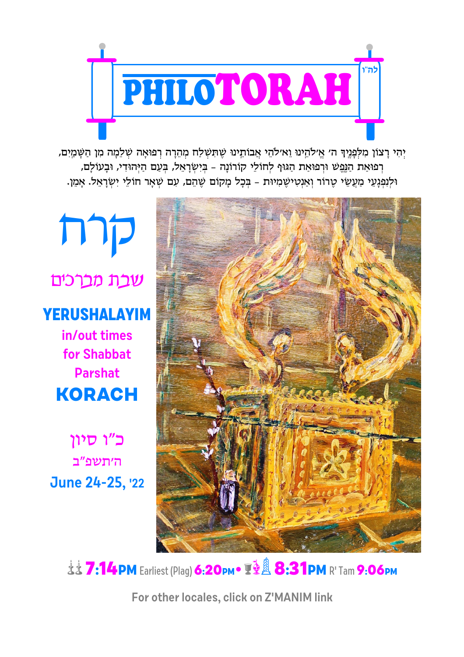

יְהִי רַצוֹן מִלְפָּנֵיךְ ה׳ אֵ׳לֹהֵינוּ וֵא׳לֹהֵי אֲבוֹתֵינוּ שֵׁתְּשִׁלַח מְהֶרָה רְפוּאַה שְׁלֵמַה מִן הַשַּׁמַיִם, רְפוּאַת הַנֶּפֵשׁ וּרְפוּאַת הַגּוּף לְחוֹלֵי קוֹרוֹנָה - בִּיְשְׂרָאֵל, בְּעָם הַיְּהוּדִי, וּבָעוֹלַם, וּלְנְפְגָעֵי מַעֲשֵׂי טֶרוֹר וְאַנְטִישֶׁמִיוּת - בְּכָל מָקוֹם שֶׁהֵם, עִם שְׁאָר חוֹלֵי יִשְׂרָאֵל. אָמֵן.

mp שכת מכרכים **YERUSHALAYIM** in/out times for Shabbat **Parshat KORACH** 

כ״ו סיון ה׳תשפ״ב **June 24-25, 22** 



**这这7:14PM Earliest (Plag) 6:20pm•夏望 8:31PM R' Tam 9:06pm** 

For other locales, click on Z'MANIM link